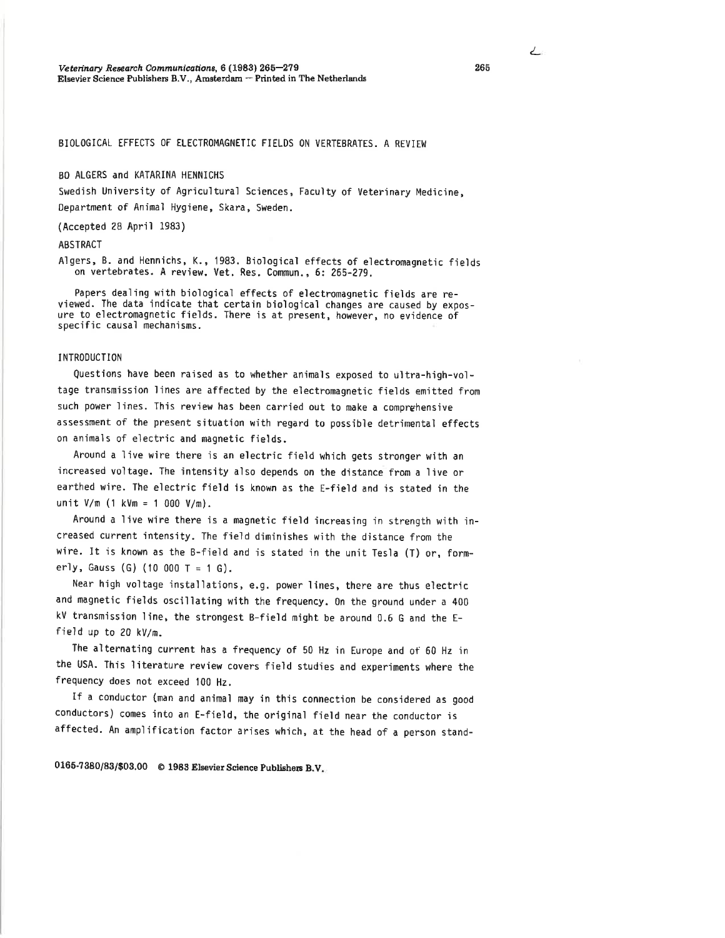## BIOLOGICAL EFFECTS OF ELECTROMAGNETIC FIELDS ON VERTEBRATES. A REVIEW

## BO ALGERS and KATARINA HENNICHS

Swedish University of Agricultural Sciences, Faculty of Veterinary Medicine, Department of Animal Hygiene, Skara, Sweden.

(Accepted 28 April 1983)

### **ABSTRACT**

Algers, B. and Hennichs, K., 1983. Biological effects of electromagnetic fields on vertebrates. A review. Vet. Res. Commun., 6: 265-279.

Papers dealing with biological effects of electromagnetic fields are reviewed. The data indicate that certain biological changes are caused by exposure to electromagnetic fields. There is at present, however, no evidence of specific causal mechanisms.

### **INTRODUCTION**

Questions have been raised as to whether animals exposed to ultra-high-voltage transmission lines are affected by the electromagnetic fields emitted from such power lines. This review has been carried out to make a comprehensive assessment of the present situation with regard to possible detrimental effects on animals of electric and magnetic fields.

Around a live wire there is an electric field which gets stronger with an increased voltage. The intensity also depends on the distance from a live or earthed wire. The electric field is known as the E-field and is stated in the unit  $V/m$  (1 kVm = 1 000 V/m).

Around a live wire there is a magnetic field increasing in strength with increased current intensity. The field diminishes with the distance from the wire. It is known as the B-field and is stated in the unit Tesla (T) or, formerly, Gauss (G) (10 000 T = 1 G).

Near high voltage installations, e.g. power lines, there are thus electric and magnetic fields oscillating with the frequency. On the ground under a 400 kV transmission line, the strongest B-field might be around 0.6 G and the Efield up to 20 kV/m.

The alternating current has a frequency of 50 Hz in Europe and of 60 Hz in the USA. This literature review covers field studies and experiments where the frequency does not exceed 100 Hz.

If a conductor (man and animal may in this connection be considered as good conductors) comes into an E-field, the original field near the conductor is affected. An amplification factor arises which, at the head of a person stand-

0165-7380/83/\$03.00 © 1983 Elsevier Science Publishers B.V.

ے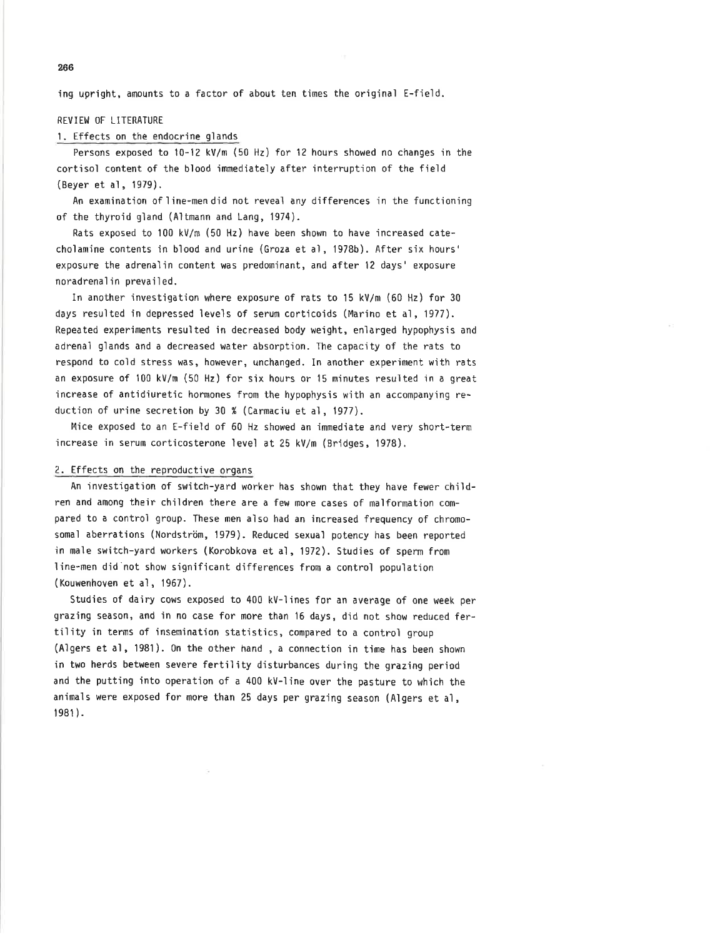ìng upright, amounts to a factor of about ten times the original E-field.

## REVIEW OF LITERATURE

## l. Effects on the endocrine glands

Persons exposed to 10-12 kV/m (50 Hz) for 12 hours showed no changes in the cortisol content of the bìood immediately after interruption of the field (Beyer et al, 1979).

An examination of line-mendid not reveal any differences in the functioning of the thyroid gland (Altnann and Lang, 1974).

Rats exposed to 100 kV/m (50 Hz) have been shown to have'increased catecholamine contents in blood and urine (Groza et al, 1978b). After six hours' exposure the adrenaììn content was predominant, and after l2 days'exposure noradrenalin prevailed.

In another investigation where exposure of rats to 15 kV/m (60 Hz) for 30 days resulted in depressed levels of serum corticoids (Marino et al, 1977). Repeated experiments resuìted in decreased body weight, enìarged hypophysis and adrenal glands and a decreased water absorptìon. The capacity of the rats to respond to cold stress was, however, unchanged. In another experiment wìth rats an exposure of 100 kV/m (50 Hz) for six hours or 15 minutes resulted in a great ìncrease of antidiuretic hormones from the hypophysis with an accompanying reduction of urine secretion by 30 % (Carmaciu et al, 1977).

Mice exposed to an E-field of 60 Hz showed an jmmediate and very short-term ìncrease in serum corticosterone level at 25 kV/m (Bridges, 1978).

# 2. Effects on the reproductive organs

An investigation of switch-yard worker has shown that they have fewer children and among their children there are a few more cases of malformation compared to a control group. These men also had an increased frequency of chromosomal aberrations (Nordström, 1979). Reduced sexual potency has been reported in male switch-yard workers (Korobkova et al, 1972). Studies of sperm from line-men did'not show significant differences fron a control population (Kouwenhoven et al, 1967).

Studies of dairy cows exposed to 400 kV-lines for an average of one week per graz'ing season, and ìn n0 case for more than'16 days, did not show reduced fertility in terms of insemination statistics, compared to a control group (Algers et al, l98l). 0n the other hand , a connection in time has been shown in two herds between severe fertility disturbances during the grazing period and the putting into operation of a 400 kV-line over the pasture to which the animals were exposed for more than 25 days per grazing season (Algers et al, t9e1 ).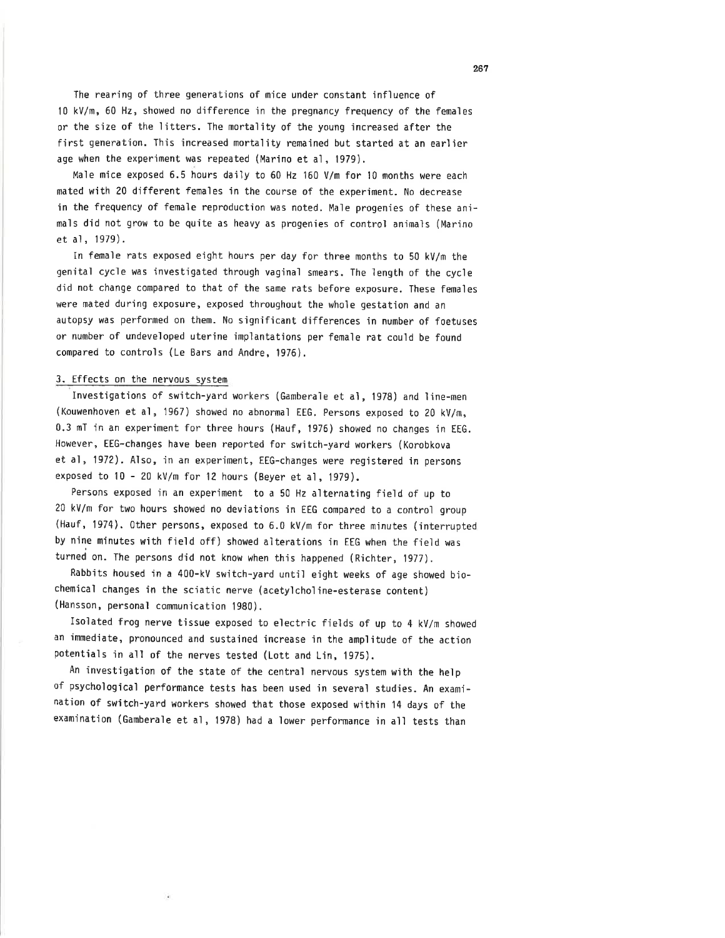The rearing of three generations of mice under constant influence of l0 kV/m,60 Hz, showed no difference in the pregnancy frequency of the females or the size of the litters. The mortality of the young increased after the first generation. This increased mortality remained but started at an earlier age when the experiment was repeated (Marino et al, 1979),

Male mice exposed 6.5 hours daiìy to 60 Hz 160 V/m for 10 months were each mated with 20 different females in the course of the experìment. No decrease in the frequency of female reproduction was noted. Male progenies of these animals did not grow to be quite as heavy as progenies of control animals (Marino et al, 1979).

In female rats exposed eïght hours per day for three months to 50 kV/m the genìtal cycle was investigated through vaginal smears. The length of the cycle did not change compared to that of the same rats before exposure. These females were mated during exposure, exposed throughout the whole gestation and an autopsy was performed on them. No significant differences in number of foetuses or number of undeveloped uterine implantations per female rat could be found compared to controls (Le Bars and Andre, 1976).

## 3. Effects on the nervous system

Investigations of switch-yard workers (Gamberaìe et al, 1978) and line-men (Kouwenhoven et al, 1967) showed no abnormal EEG. Persons exposed to 20 kV/m, 0.3 mT in an experiment for three hours (Hauf, 1976) showed no changes in EtG. However, EEG-changes have been reported for switch-yard workers (Korobkova et al,197?). Aìso, in an experiment, EEG-changes were registered in persons exposed to 10 - 20 kV/m for 12 hours (Beyer et al, 1979).

Persons exposed in an experiment to a 50 Hz alternating field of up to <sup>20</sup>kV/m for two hours showed no deviations in EEG compared to a control group (Hauf, 1974). 0ther persons, exposed to 6.0 kV/m for three minutes (interrupted by nine minutes with field off) showed alterations in EEG when the field was turned on. The persons did not know when this happened (Richter, 1977).

Rabbits housed in a 400-kV switch-yard until eight weeks of age showed biochemicaì changes in the sciatic nerve (acetylcholine-esterase content) (Hansson, personal communication 1980).

Isolated frog nerve tissue exposed to electric fields of up to 4 kV/m showed an immediate, pronounced and sustained increase in the amplitude of the action potentials in all of the nerves tested (Lott and Lin,1975).

An investigation of the state of the central nervous system with the help of psychological performance tests has been used in several studies. An examination of switch-yard workers showed that those exposed within l4 days of the examìnation (Gamberale et al, 1978) had a lower performance in all tests than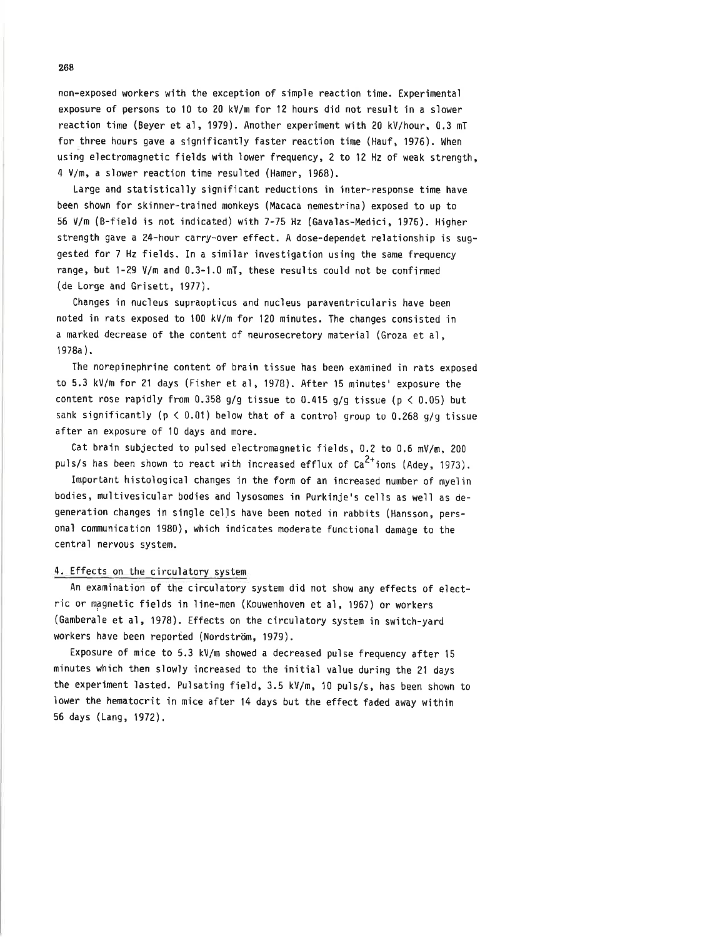non-exposed workers with the exception of simple reaction time. Experimental exposure of persons to 10 to 20 kV/m for 12 hours did not result in a slower reaction time (Beyer et al, 1979). Another experiment with 20 kV/hour, 0.3 mT for three hours gave a significantly faster reaction time (Hauf, 1976). When using electromagnetic fields with lower frequency, 2 to 12 Hz of weak strength, 4 \/n, a slower reaction time resulted (Hamer, 1968).

Large and statistically significant reductions in inter-response time have been shown for skinner-trained monkeys (Macaca nemestrina) exposed to up to 56 V/m (B-field is not indicated) with 7-75 Hz (Gavalas-Medici, 1976), Higher strength gave a 24-hour carry-over effect. A dose-dependet relationship is suggested for 7 Hz fields. In a simìlar investigation usìng the same frequency range, but 1-29 V/m and 0.3-1.0 mT, these results could not be confirmed (de Lorge and Grìsett, 1977).

Changes in nucleus supraopticus and nucìeus paraventricularis have been noted in rats exposed to 100 kV/m for 120 minutes. The changes consisted in a marked decrease of the content of neurosecretory material (Groza et al, <sup>1</sup>978a ).

The norepinephrine content of brain tissue has been examined in rats exposed to 5.3 kV/m for 21 days (Fisher et al, 1978). After 15 minutes' exposure the content rose rapidly from 0.358 g/g tissue to 0.415 g/g tissue ( $p < 0.05$ ) but sank significantly ( $p < 0.01$ ) below that of a control group to 0.268 g/g tissue after an exposure of l0 days and more.

Cat brain subjected to pulsed electromagnetic fields, 0.2 to 0.6 mV/m, 200 puls/s has been shown to react with increased efflux of  $Ca^{2+}$ ions (Adey, 1973).

Important histological changes in the form of an increased number of myelin bodies, multivesicular bodìes and ìysosomes in Purkinje's cells as well as degeneratìon changes ìn singìe cells have been noted in rabbits (Hansson, personal communication 1980), which indicates moderate functional damage to the central nervous system.

## 4. Effects on the circulatory system

An examination of the circuìatory system did not show any effects of electric or magnetic fields in line-men (Kouwenhoven et al, 1967) or workers (Gamberale et al, 1978). Effects on the c'irculatory system in switch-yard workers have been reported (Nordström, 1979).

Exposure of mice to 5.3 kV/m showed a decreased pulse frequency after 15 minutes which then slowly increased to the initial value during the 21 days the experiment lasted. Pulsating field, 3.5 kV/m, 10 puls/s, has been shown to lower the hematocrit in mice after 14 days but the effect faded away within 56 days (Lang, 1972).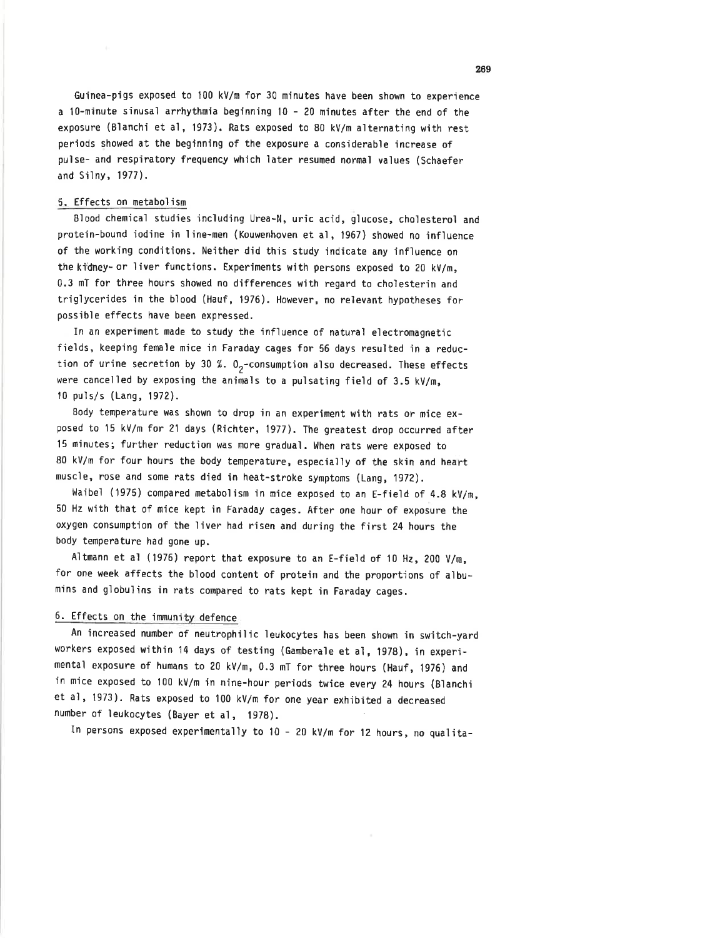Guinea-pigs exposed to 100 kV/m for 30 minutes have been shown to experience a 10-minute sinusal arrhythmia beginning 10 - 20 minutes after the end of the exposure (Blanchi et al, 1973). Rats exposed to 80 kV/m alternatìng with rest periods showed at the begìnning of the exposure a considerable increase of puìse- and respìratory frequency which later resumed normal values (Schaefer and Silny, 1977).

# 5. Effects on metabolism

Blood chemical studies including Urea-N, uric acid, glucose, cholesterol and protein-bound iodine in line-men (Kouwenhoven et al, 1967) showed no influence of the working conditions. Neither did this study indicate any influence on the kidney- or liver functions. Experiments with persons exposed to 20 kV/m, 0.3 mT for three hours showed no differences with regard to choìesterin and trigìycerides in the blood (Hauf, 1976). However, no relevant hypotheses for possible effects have been expressed.

In an experiment made to study the influence of natural electromagnetic fields, keeping female mice in Faraday cages for 56 days resulted in a reduction of urine secretion by 30 %.  $0<sub>2</sub>$ -consumption also decreased. These effects were cancelled by exposing the animals to a pulsating field of 3.5 kV/m,  $10 \text{ puls/s}$  (Lang, 1972).

Body tenperature was shown to drop in an experiment with rats or mice exposed to 15 kv/m for 2l days (Richter, 1977). The greatest drop occurred after <sup>15</sup>minutes; further reductìon was nore graduaì. when rats were exposed to <sup>80</sup>kv/m for four hours the body temperature, especialìy of the skin and heart muscle, rose and some rats died in heat-stroke symptoms (Lang,1972).

Waibel (1975) compared metabolism in mice exposed to an E-field of 4.8 kV/m, <sup>50</sup>Hz with that of mice kept in Faraday cages. After one hour of exposure the oxygen consunptìon of the liver had risen and during the first 24 hours the body temperature had gone up.

Altmann et al (1976) report that exposure to an E-field of 10 Hz, 200 V/m, for one week affects the blood content of protein and the proportions of albumins and globulins in rats compàred to rats kept in Faraday cages.

# 6. Effects on the immunity defence

An increased number of neutrophiìic leukocytes has been shown in switch-yard workers exposed within 14 days of testing (Gamberale et al, 1978), in experimentaì exposure of humans to 20 kv/m, 0.3 mT for three hours (Hauf, 1976) and in mice exposed to <sup>100</sup>kv/m in nine-hour periods twice every 24 hours (Blanchi et aì, 1973). Rats exposed to 100 kVlm for one year exhìbited a decreased number of leukocytes (Bayer et aì, 1979).

In persons exposed experimentally to 10 - 20 kV/m for 12 hours, no qualita-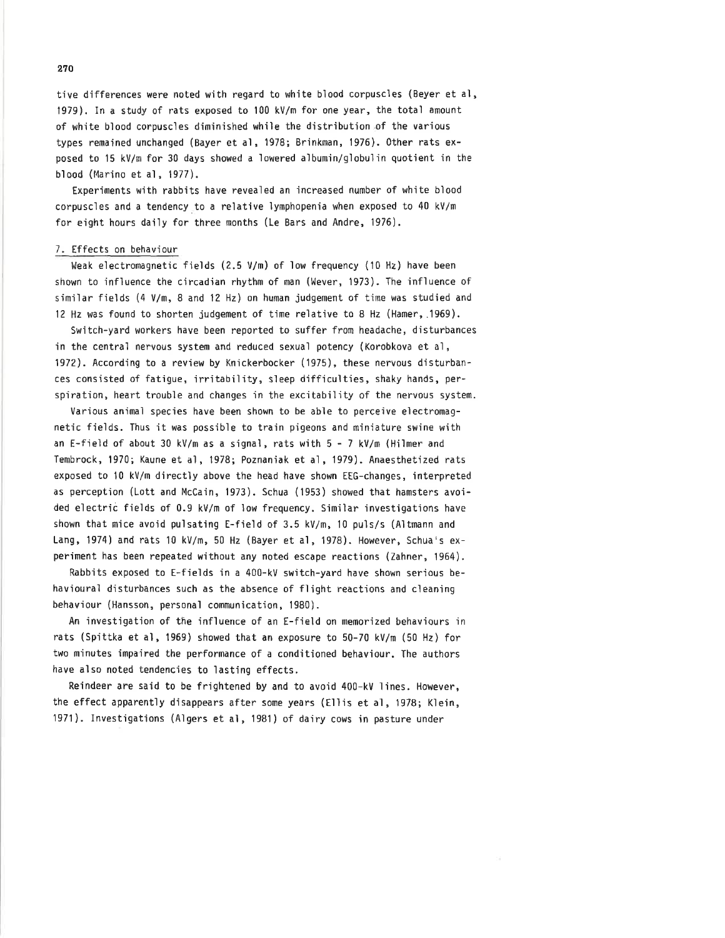tive differences were noted with regard to white blood corpuscles (Beyer et al, ,1979). In a study of rats exposed to 100 kV/m for one year, the total amount of white bìood corpuscles diminjshed while the distrìbution of the various types remained unchanged (Bayer et al, 1978; Brinkman, 1976). 0ther rats exposed to 15 kV/m for 30 days showed a lowered aìbumìn/gìobulin quotient in the blood (Marino et al, 1977).

Experiments with rabbits have revealed an increased number of white blood corpuscles and a tendency to a relative lymphopenia when exposed to 40 kV/m for eight hours daìly for three months (Le Bars and Andre, 1976).

### 7. Effects on behaviour

Weak electromagnetic fields (2.5 V/m) of low frequency (10 Hz) have been shown to influence the circadian rhythm of man (Wever, 1973). The influence of similar fields  $(4 V/m, 8$  and 12 Hz) on human judgement of time was studied and l2 Hz was found to shorten judgement of time relatìve to 8 Hz (Hamer,.1969).

Switch-yard workers have been reported to suffer from headache, disturbances in the central nervous system and reduced sexual potency (Korobkova et al, 1972). According to a review by Knìckerbocker (1975), these nervous disturbances consisted of fatigue, irritability, sleep diffjculties, shaky hands, perspiration, heart trouble and changes in the excitability of the nervous system.

Various anìmaì species have been shown to be able to perceìve electromagnetic fields. Thus it was possible to train pigeons and miniature swine with an E-field of about 30 kV/m as a signal, rats with 5 - 7 kv/m (Hilmer and Tembrock,1970; Kaune et a1,1978; Poznaniak et a1,1979). Anaesthetized rats exposed to 10 kV/m directly above the head have shown EtG-changes, interpreted as perÇeption (Lott and McCain, 1973). Schua (1953) showed that hamsters avoided electriè fields of 0.9 kV/m of low frequency. Similar investigations have shown that mice avoid pulsating E-field of 3.5 kV/m, 10 puls/s (Altmann and Lang, 1974) and rats 10 kV/m, 50 Hz (Bayer et a1, 1978). However, Schua's experiment has been repeated wìthout any noted escape reactions (Zahner, 1964).

Rabbits exposed to E-fields in a 400-kV switch-yard have shown serìous behavioural disturbances such as the absence of flight reactions and cìeanìng behaviour (Hansson, personal communication, 1980).

An investigation of the influence of an E-field on memorized behaviours in rats (Spittka et aì, 1969) showed that an exposure to 50-70 kv/m (50 Hz) for two minutes impaired the performance of a conditioned behaviour. The authors have also noted tendencies to lasting effects.

Reindeer are said to be frightened by and to avoid 400-kV lines. However, the effect apparently disappears after some years (Ellis et al, 1978; Klein, '1971). Investìgations (Aìgers et al, 1981) of dairy cows in pasture under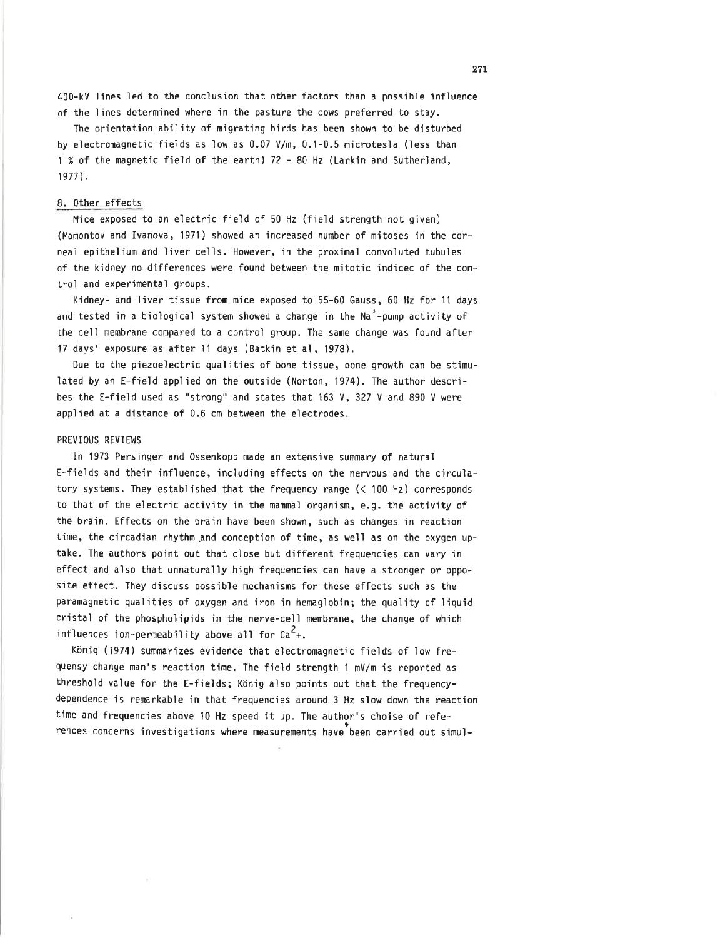400-kV lines led to the conclusion that other factors than a possible influence of the lines determined where in the pasture the cows preferred to stay.

The orìentation ability of migrating birds has been shown to be disturbed by electrornagnetìc fields as low as 0.07 V/m, 0.1-0.5 microtesla (less than 1 % of the magnetic field of the earth) 72 - 80 Hz (Larkin and Sutherland, 1977\.

## 8. 0ther effects

Mice exposed to an electric field of 50 Hz (field strength not given) (Mamontov and lvanova, 1971) showed an increased number of mitoses in the corneal epìthelium and liver celìs. However, in the proximal convoluted tubules of the kidney no differences were found between the mitotic indicec of the controi and experimental groups.

Kidney- and liver tissue from mice exposed to 55-60 Gauss, 60 Hz for lt days and tested in a biological system showed a change in the  $Na<sup>+</sup>$ -pump activity of the cell membrane compared to a control group. The same change was found after <sup>17</sup>days'exposure as after 11 days (Batkin et al, 1978).

Due to the piezoelectric qualities of bone tissue, bone growth can be stimuìated by an E-field applied on the outside (Norton, 1974). The author describes the E-field used as "strong" and states that 163 V, 327 V and 890 V were applied at a distance of 0.6 cm between the electrodes.

### PREVIOUS REVIEWS

In 1973 Persinger and 0ssenkopp made an extensive summary 0f natural f-fieids and their infìuence, including effects on the nervous and the circulatory systems. They established that the frequency range  $($   $<$  100 Hz) corresponds to that of the eìectric activity in the mammal organism, e.g. the activity of the brain. Effects on the brain have been shown, such as changes in reaction time, the circadian rhythm and conception of time, as well as on the oxygen uptake. The authors point out that close but different frequencies can vary in effect and also that unnaturally h'igh frequencies can have a stronger or opposìte effect. They discuss possible mechanjsms for these effects such as the paramagnetìc quaìities of oxygen and iron ìn hemagìobin; the quality of ìiquid cristal of the phospholipids in the nerve-cell membrane, the change of which influences ion-permeability above all for  $Ca<sup>2</sup>$ +.

König (1974) summarizes evidence that electromagnetic fields of low frequensy change man's reaction time. The field strength 1 mV/m'is reported as threshold value for the E-fields; König also points out that the frequencydependence is remarkable in that frequencies around 3 Hz slow down the reaction time and frequencies above l0 Hz speed it up. The author's choise of references concerns investigations where measurements have been carried out simul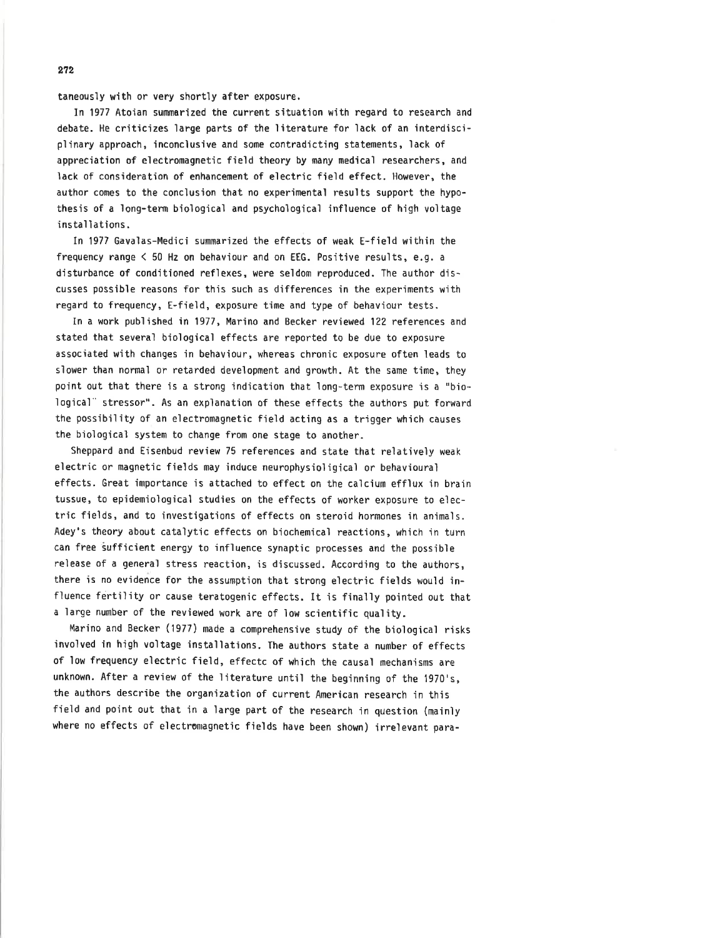taneously with or very shortly after exposure.

ln 1977 Atoian summarized the current situation with regard to research and debate. He criticizes large parts of the literature for lack of an interdisciplìnary approach, inconcìusive and some contradicting statements, lack of appreciation of electromagnetic field theory by many medical researchers, and lack of consideration of enhancement of electric field effect. However, the author comes to the conclusion that no experimentaì results support the hypothesis of a long-term biological and psychological influence of high voltage installations.

In 1977 Gavalas-Medici summarized the effects of weak E-field within the frequency range  $\leq 50$  Hz on behaviour and on EEG. Positive results, e.g. a disturbance of conditioned nefìexes, were seldom reproduced. The author discusses possible reasons for this such as differences in the experiments with regard to frequency, E-field, exposure time and type of behaviour tests.

In a work published in 1977, Marino and Becker reviewed 122 references and stated that several bioìogical effects are reported to be due to exposure associated with changes jn behaviour, whereas chronìc exposure often leads to siower than normal or retarded development and growth. At the same time, they point out that there is a strong indjcation that long-term exposure is a "biological" stressor". As an explanation of these effects the authors put forward the possibility of an electromagnetic field acting as a trigger which causes the bìoìogìca1 systen to change from one stage to another.

Sheppard and Eisenbud review 75 references and state that relativeìy weak electric or magnetic fields may induce neurophysioligical or behavioural effects. Great importance is attached to effect on the calcium efflux in brain tussue, to epidemioìogical studìes on the effects of worker exposure to electric fieìds, and to investigations of effects on steroid hormones in an'imals. Adey's theory about cataìytic effects on biochemical reactions, which in turn can free sufficient energy to influence synaptic processes and the possible release of a general stress reaction, is discussed. According to the authors, there is no evidence for the assumption that strong electric fieìds would ìnfluence fertììity or cause teratogenic effects. It is finaìly pointed out that a large number of the reviewed work are of low scientific quality.

Marino and Becker (1977) nade a comprehensive study of the biologicaì risks involved in high voìtage installations. The authors state a number of effects of low frequency electrìc field, effectc of which the causal mechanisms are unknown. After a review of the literature until the beginning of the 1970's, the authors describe the organìzation of current American research in this field and point out that in a large part of the research in question (mainly where no effects of electromagnetic fields have been shown) irrelevant para-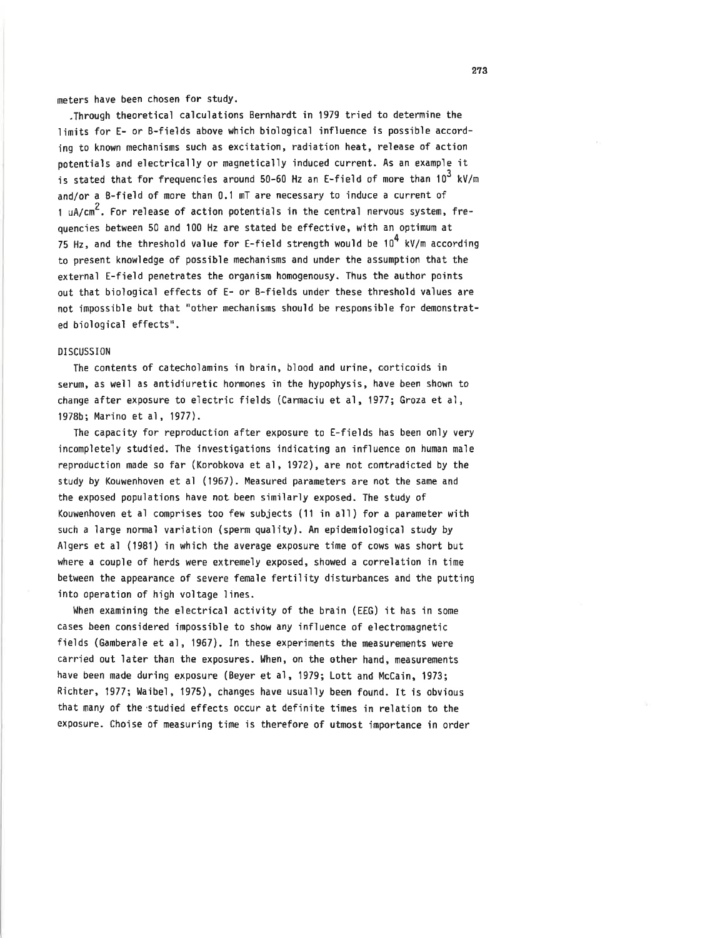meters have been chosen for studY.

,Through theoretical calculations Bernhardt in 1979 tried to determine the limits for E- or B-fields above which biological influence is possíble accordjng to known mechanisms such as excitation, radiation heat, release of action potentials and eìectrically or magneticalìy induced current. As an exampìe ìt is stated that for frequencies around 50-60 Hz an E-field of more than  $10^3$  kV/m and/or a B-field of more than 0.1 mT are necessary to induce a current of 1 uA/cm<sup>2</sup>. For release of action potentials in the central nervous system, frequencies between 50 and 100 Hz are stated be effective, with an optinum at 75 Hz, and the threshold value for E-field strength would be  $10^4$  kV/m according to present knowledge of possible mechanisms and under the assumption that the external E-fjeìd penetrates the organism homogenousy. Thus the author points out that biological effects of E- or B-fields under these threshold values are not impossible but that "other mechanisms should be responsible for demonstrated biological effects".

## DISCUSSION

The contents of catecholamins in brain, blood and urine, corticoids in serum, as weìl as antidiuretic hormones in the hypophysis, have been shown to change after exposure to electric fields (Carmaciu et al, 1977; Groza et al, 1978b; Marino et al, 1977).

The capacity for reproduction after exposure to E-fields has been only very ìncompletely studied. The investigations indìcating an influence on human male reproduction made so far (Korobkova et al, 1972), are not contradicted by the study by Kouwenhoven et al (1967). Measured parameters are not the same and the exposed populations have not been simìlarìy exposed. The study of Kouwenhoven et al comprises too few subjects (11 in al'l) for a parameter with such a large normaì variatìon (sperm quality). An epidemiologiçaì study by Algers et al (1981) in which the average exposure time of cows was short but where a couple of herds were extremely exposed, showed a correlation in time between the appearance of severe female fertility disturbances and the putting into operation of hìgh voìtage ìines.

When examining the electrical activity of the brain (EEG) it has in some cases been considered impossible to show any influence of electromagnetic fìeìds (Gamberale et al, 1967). In these experiments the neasurements were carried out later than the exposures. When, on the other hand, measurements have been made during exposure (Beyer et al, 1979; Lott and McCain, 1973; Richter, 1977; Waibel, 1975), changes have usually been found. It is obvious that many of the'studied effects occur at definite times in relation to the exposure. Choise of measuring time is therefore of utmost importance in order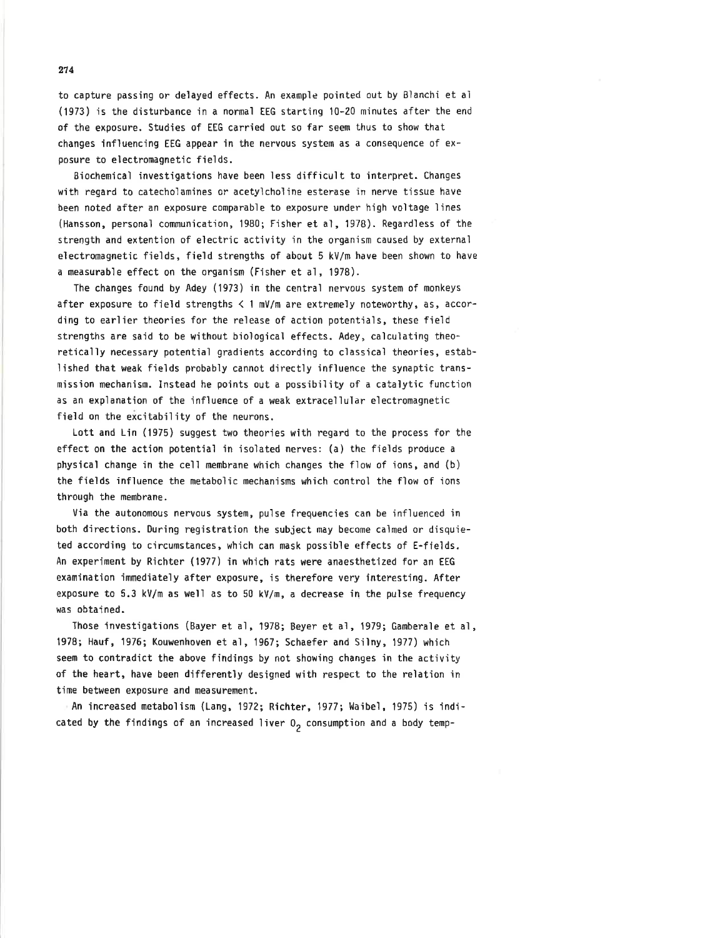to capture passing or delayed effects. An example pointed out by Blanchi et al (1973) is the disturbance in a normal tEG starting l0-20 minutes after the end of the exposure. Studies of EEG carried out so far seem thus to show that changes influencing EEG appear in the nervous system as a consequence of  $ex$ posure to electromagnetic fields.

Biochemical investigations have been less difficult to interpret. Changes with regard to catecholamines or acetylcholine esterase in nerve tissue have been noted after an exposure comparable to exposure under high voltage ìines (Hansson, personaì communication, 1980; Fisher et al, 1978). Regardless of the strength and extention of eìectric activity ìn the organism caused by external electromagnetic fields, field strengths of about 5 kV/m have been shown to have a measurable effect on the organism (Fisher et al, 1978).

The changes found by Adey (1973) in the centraì nervous system of monkeys after exposure to field strengths  $\leq 1$  mV/m are extremely noteworthy, as, according to earlier theories for the release of action potentials, these field strengths are said to be without biological effects. Adey, calculating theoretically necessary potential gradients according to classical theories, establìshed that weak fields probabìy cannot directly influence the synaptic transmission mechanism. Instead he points out a possibility of a catalytic function as an explanation of the influence of a weak extracellular electromagnetic field on the excitability of the neurons.

Lott and Lin (1975) suggest two theories with regard to the process for the effect on the action potentiaì ìn isolated nerves: (a) the fields produce <sup>a</sup> physical change in the cell membrane which changes the flow of ions, and  $(b)$ the fields influence the metaboìic mechanisms which control the flow of ions through the membrane.

Via the autonomous nervous system, pulse frequencìes can be infìuenced in both directions. During registration the subject may become calmed or disquieted according to cìrcumstances, which can mask possible effects of E-fieìds. An experiment by Richter (1977) in which rats were anaesthetized for an EEG examination 'immediately after exposure, ìs therefore very interesting. After exposure to 5.3 kVlm as weìl as to 5û kV/m, a decrease in the pulse frequency was obtained.

Those investigations (Bayer et al, 1978; Beyer et al, 1979; Gambera]e et aì, 1978; Hauf, 1976; Kouwenhoven et al, 1967; Schaefer and Silny, 1977) which seem to contradict the above findings by not showing changes in the activity of the heart, have been differently designed with respect to the relation in time between exposure and measurement.

An increased metabolism (Lang, 1972; Richter, 1977; Waibel, 1975) is indicated by the findings of an increased liver  $0<sub>2</sub>$  consumption and a body temp-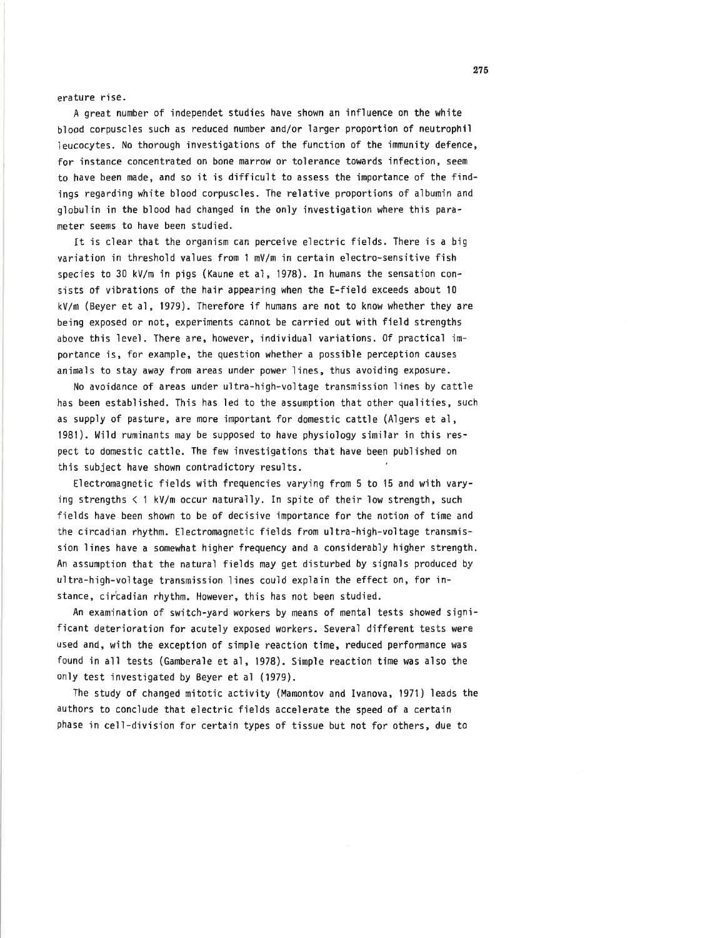erature rise.

A great number of independet studies have shown an influence on the white blood corpuscles such as reduced number and/or larger proportion of neutrophil leucocytes. No thorough investigations of the function of the immunity defence, for instance concentrated on bone marrow or tolerance towards infection, seem to have been made, and so it is difficult to assess the importance of the findings regarding white blood corpuscles. The relative proportions of albumin and globulin in the blood had changed in the only investigation where this parameter seems to have been studied.

It is clear that the organism can perceive electric fields. There is a big variation in threshold values from 1 mV/m in certain electro-sensitive fish species to 30 kV/m in pigs (Kaune et al, 1978). In humans the sensation consists of vibrations of the hair appearing when the E-field exceeds about 10 kV/m (Beyer et al, 1979). Therefore if humans are not to know whether they are being exposed or not, experiments cannot be carried out with field strengths above this level. There are, however, individual variations. Of practical importance is, for example, the question whether a possible perception causes animals to stay away from areas under power lines, thus avoiding exposure.

No avoidance of areas under ultra-high-voltage transmission lines by cattle has been established. This has led to the assumption that other qualities, such as supply of pasture, are more important for domestic cattle (Algers et al, 1981). Wild ruminants may be supposed to have physiology similar in this respect to domestic cattle. The few investigations that have been published on this subject have shown contradictory results.

Electromagnetic fields with frequencies varying from 5 to 15 and with varying strengths < 1 kV/m occur naturally. In spite of their low strength, such fields have been shown to be of decisive importance for the notion of time and the circadian rhythm. Electromagnetic fields from ultra-high-voltage transmission lines have a somewhat higher frequency and a considerably higher strength. An assumption that the natural fields may get disturbed by signals produced by ultra-high-voltage transmission lines could explain the effect on, for instance, circadian rhythm. However, this has not been studied.

An examination of switch-yard workers by means of mental tests showed significant deterioration for acutely exposed workers. Several different tests were used and, with the exception of simple reaction time, reduced performance was found in all tests (Gamberale et al, 1978). Simple reaction time was also the only test investigated by Beyer et al (1979).

The study of changed mitotic activity (Mamontov and Ivanova, 1971) leads the authors to conclude that electric fields accelerate the speed of a certain phase in cell-division for certain types of tissue but not for others, due to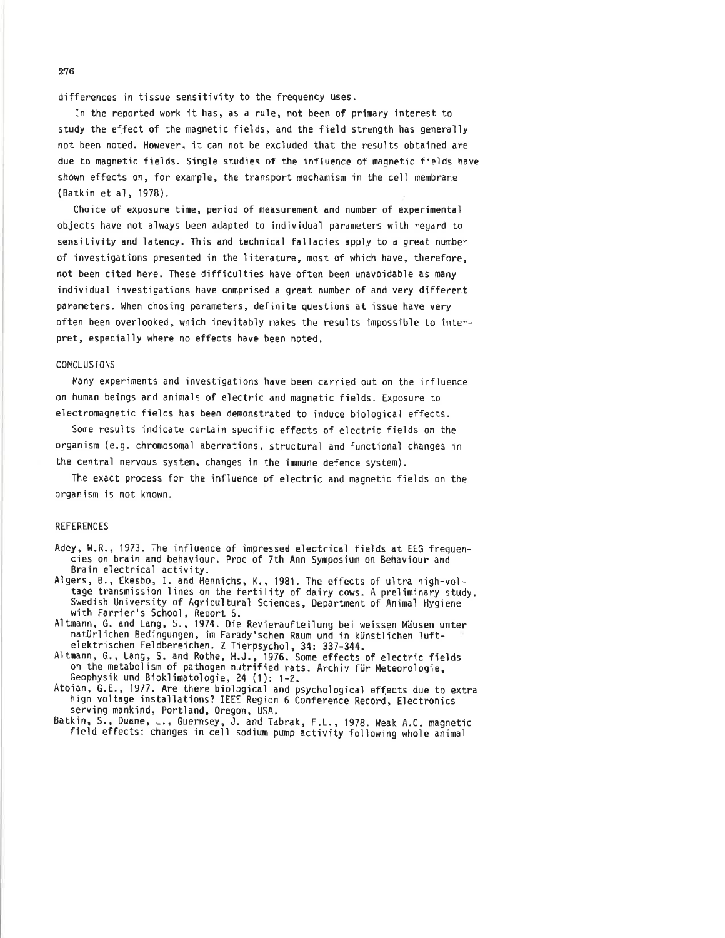differences in tissue sensitivity to the frequency uses.

In the reported work it has, as a rule, not been of primary interest to study the effect of the magnetic fields, and the field strength has generally not been noted. However, it can not be excluded that the results obtained are due to magnetic fields. Single studies of the influence of magnetic fields have shown effects on, for example, the transport mechamism in the cell membrane (Batkin et al, 1978).

Choice of exposure time, period of measurement and number of experimental objects have not always been adapted to individual parameters with regard to sensitivity and latency. This and technical fallacies apply to a great number of investigations presented in the literature, most of which have, therefore, not been cited here. These difficulties have often been unavoidable as many individual investigations have comprised a great number of and very different parameters. When chosing parameters, definite questions at issue have very often been overlooked, which inevitably makes the results impossible to interpret, especially where no effects have been noted.

## **CONCLUSIONS**

Many experiments and investigations have been carried out on the influence on human beings and animals of electric and magnetic fields. Exposure to electromagnetic fields has been demonstrated to induce biological effects.

Some results indicate certain specific effects of electric fields on the organism (e.g. chromosomal aberrations, structural and functional changes in the central nervous system, changes in the immune defence system).

The exact process for the influence of electric and magnetic fields on the organism is not known.

## **REFERENCES**

- Adey, W.R., 1973. The influence of impressed electrical fields at EEG frequencies on brain and behaviour. Proc of 7th Ann Symposium on Behaviour and Brain electrical activity.
- Algers, B., Ekesbo, I. and Hennichs, K., 1981. The effects of ultra high-voltage transmission lines on the fertility of dairy cows. A preliminary study. Swedish University of Agricultural Sciences, Department of Animal Hygiene with Farrier's School, Report 5.<br>Altmann, G. and Lang, S., 1974. Die Revieraufteilung bei weissen Mäusen unter
- natürlichen Bedingungen, im Farady'schen Raum und in künstlichen luft-
- elektrischen Feldbereichen. Z Tierpsychol, 34: 337-344.<br>Altmann, G., Lang, S. and Rothe, H.J., 1976. Some effects of electric fields<br>on the metabolism of pathogen nutrified rats. Archiv für Meteorologie, Geophysik und Bioklimatologie, 24 (1): 1-2.
- Atoian, G.E., 1977. Are there biological and psychological effects due to extra high voltage installations? IEEE Region 6 Conference Record, Electronics serving mankind, Portland, Oregon, USA.
- Batkin, S., Duane, L., Guernsey, J. and Tabrak, F.L., 1978. Weak A.C. magnetic field effects: changes in cell sodium pump activity following whole animal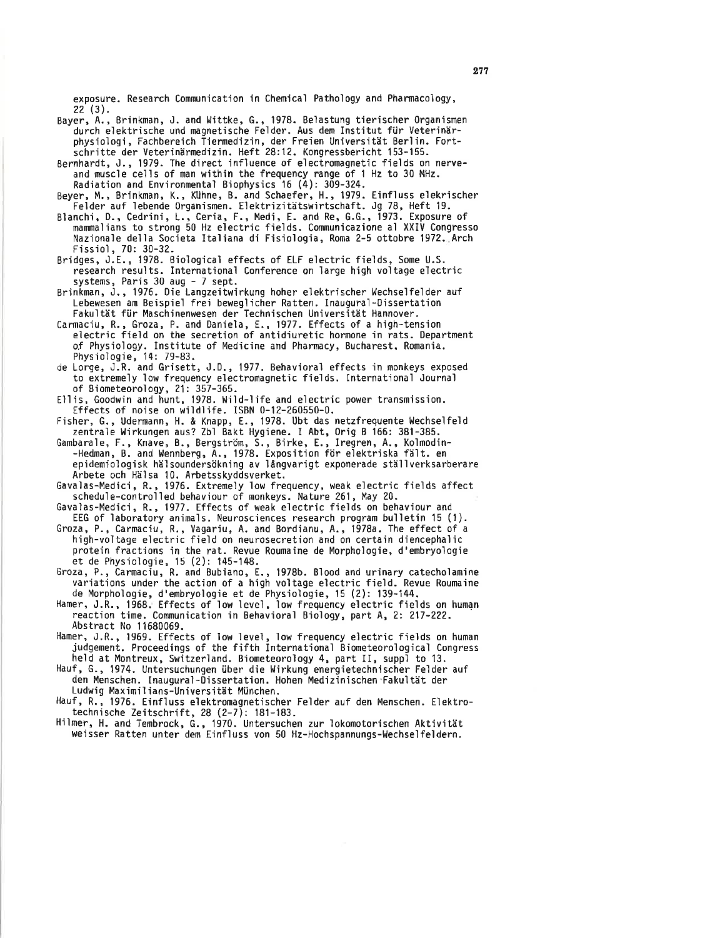exposure. Research Communication in Chemical Pathology and Pharmacology,  $22(3).$ 

- Bayer, A., Brinkman, J. and Wittke, G., 1978. Belastung tierischer Organismen durch elektrische und magnetische Felder. Aus dem Institut fiir Veterinärphysiologi, Fachbereich Tiermedizin, der Freien Universität Berlin. Fortschritte der Veterinärmedizin. Heft 28:12. Kongressbericht 153-155.
- Bernhardt, J., 1979. The direct influence of electromagnetic fields on nerveand muscle cells of man within the frequency range of 1 Hz to 30 MHz. Radiation and Environmental Biophysics 16 (4): 309-324.
- Beyer, M,, Brinkman, K., Kühne, B. and Schaefer, H-, 1979. Einfluss e'lekrischer Felder auf lebende 0rganismen. Elektrizitätswirtschaft. Jg 78, Heft 19.
- Blanchi, D., Cedrini, L., Ceria, F., Medi, E. and Re, G.G., 1973. Exposure of mammalians to strong 50 Hz electric fields. Communicazione al XXIV Congresso Nazionale della Societa Italiana di Fisiologia, Roma 2-5 ottobre 1972. Arch Fissiol, 70: 30-32.
- Bridges, J.E., 1978. Biological effects of ELF electric fields, Some U.S. research results. International Conference on large high voltage electric systems, Paris 30 aug - 7 sept.
- Brinkman, J., 1976. Die Langzeitwirkung hoher elektrischer Wechselfelder auf Lebewesen am Beispìeì frei bewegìicher Ratten. Inauguraì-Dissertat'ion Fakultät für Maschinenwesen der Technischen Universität Hannover.
- Carmaciu, R., Groza, P. and Daniela, 8.,1977. Effects of a hìgh-tensìon eìectric fie'ld on the secretion of antidiuretic hormone in rats. Department of Physioìogy. Institute of Medicine and Pharmacy, Bucharest, Romania. Physiologie, 14: 79-83.
- de Lorge, J.R. and Grisett, J.0., 1977. Behavioral effects'in nonkeys exposed to extremely low frequency electromagnetic fields. Internationa'l Journa'l of Biometeorology, 21: 357-365.
- Ellis, Goodwin and hunt,1978. Hild-life and electric power transmission. tffects of noise on wildlife. ISBN 0-12-260550-0.

Fisher, G., Udermann, H. & Knapp, E., 1978. Ubt das netzfrequente Wechselfeld zentrale Uirkungen aus? Zbl Bakt Hygiene. I Abt,0rìg B 166: 381-385.

Gambarale, F., Knave, B., Bergström, S., Birke, E., Iregren, A., Kolmodin--Hedman, B. and Wennberg, A., 1978. Exposition för elektriska fält. en epidemiologisk hälsoundersökning av långvarigt exponerade ställverksarberare Arbete och Häìsa 10. Arbetsskyddsverket.

Gavalas-Medici, R., 1976. Extremely low frequency, weak electric fields affect scheduìe-controlled behaviour of monkeys. Nature 261, May 20.

Gavalas-Medici, R.,1977. tffects of weak electric fields on behaviour and EEG of laboratory animals. Neurosciences research program bulletin 15 (1).

Groza, P., Carmaciu, R., Vagariu, A. and Bordianu,4., 1978a. The effect of <sup>a</sup> high-voltage electric field on neurosecretion and on certain diencephalic protein fractions in the rat. Revue Roumaine de Morphoìogie, d'embryoìogie et de Physìologie, l5 (2): 145-148.

Groza, P., Carmaciu, R. and Bubiano, E., 1978b. Blood and urinary catecholamine variations under the action of a high voltage e'lectric field. Revue Roumaine de Morphologie, d'embryoìogie et de Physiologie, 15 (2): 139-144.

- Hamer, J.R., 1968. Effects of low level, ìow frequency electric fìelds on human reaction time. Communication in Behavioral Biology, part A, 2: 217-222. Abstract No 11680069.
- Hamer, J.R., 1969. Effects of low level, low frequency electric fields on human judgement. Proceedings of the fifth International Biometeorological Congress heìd at Montreux, Switzerland. Biometeorology 4, part II, suppl to 13.

Hauf, G., 1974. Untersuchungen über die Wirkung energietechnischer Felder auf den Menschen. Inaugural-Dissertation. Hohen Medizìnìschen'Fakultät der Ludwig Maximil ians-Universìtät München.

Hauf, R.,1976. Einfluss elektromagnetischer Felder auf den Menschen. tlektrotechnische Zeitschrift, 28 (2-7): 181-183.

Hiìmer, H. and Tembrock, G., '1970. Untersuchen zur lokomotorischen Aktivität weisser Ratten unter dem Einfluss von 50 Hz-Hochspannungs-Wechselfeldern.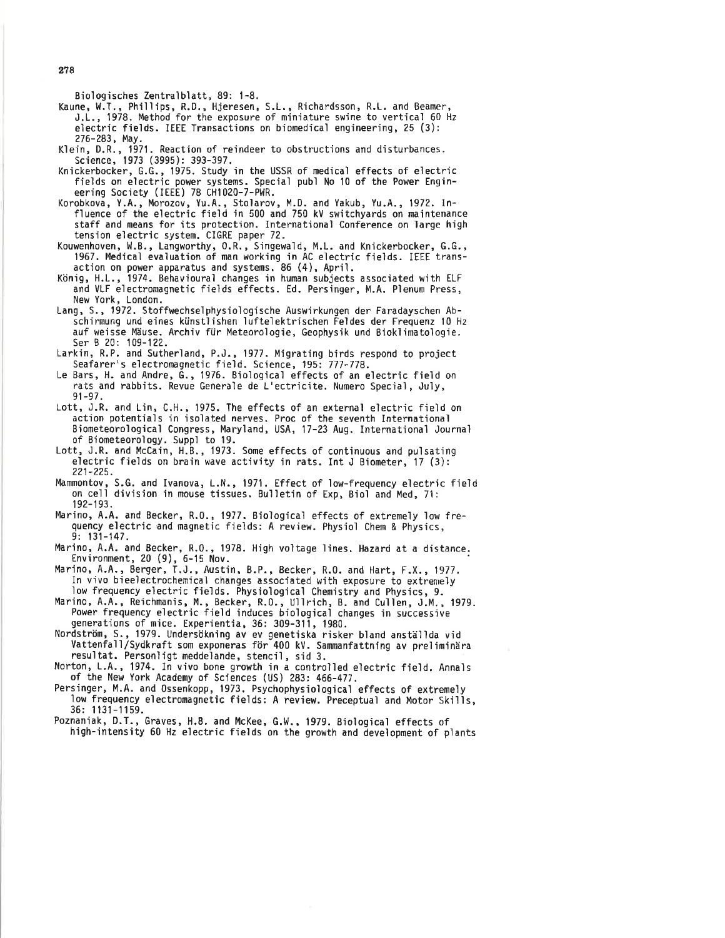Bioìogisches Zentralblatt, 89: 1-8.

Kaune, W.T., Phillips, R.D., Hjeresen, S.L., Richardsson, R.L. and Beamer, J.1., 1978. Method for the exposure of m'iniature swjne to vertical 60 Hz electric fields. IEEE Transactions on biomedical engineering, 25 (3): 276-283, May.

Klein, D.R., 1971. Reaction of reindeer to obstructions and disturbances. Science, 1973 (3995): 393-397.

- Knickerbocker, G.G., 1975. Study in the USSR of medical effects of electric fields on electric power systems. Special publ No 10 of the Power Engin-eering Society (IEtt) 78 CHî020-7-PWR.
- Korobkova, Y.4,, Morozov, Yu.A., Stoìarov, M.D. and Yakub, Yu.A., 1972. Influence of the electric fìeld in 500 and 750 kV switchyards on maintenance staff and means for its protection. International Conference on large high tension eìectric system. CIGRE paper 72.
- Kouwenhoven, H.8., Langworthy,0.R., Sìngewald, M.L. and Knickerbocker, G.G., 1967. Medical evaluation of man working in AC electric fields. IEEE transaction on power apparatus and systems. 86 (4), Apriì.
- König, H.1., 1974. Behavioural changes in human subjects assocìated with ELF and VLF eìectromagnetic fields effects. Ed. Persinger, M.A. Plenum Press, New York, London.
- Lang, S. , 1972. Stoffwechseìphysiologische Auswirkungen der Faradayschen Abschirmung und eines künstlishen luftelektríschen Feldes der Frequenz l0 Hz auf weisse Mäuse. Archiv für Meteoroìogie, Geophysik und Bioklimatologie. Ser B 20: 109-122.
- Larkin, R.P. and Sutherland, P.J., 1977. Migrating birds respond to project Seafarer's eìectromagnetjc field. Science, 195: 777-778.
- Le Bars, H. and Andre, G., 1976. Biologìcaì effects of an electric field on rats and rabbjts. Revue Generale de L'ectricìte. Numero Special, Juìy, 91-97 .
- Lott, J.R. and Lin, C.H.,1975. The effects of an external electric field on action potentials in isolated nerves. Proc of the seventh International Biometeorological Congress, Maryland, USA, 17-23 Aug. International Journal of Biometeorology. Suppì to 19.
- Lott, J.R. and McCain, H.8., 1973. Some effects of continuous and pulsating electric fields on brain wave activity in rats. Int J Biometer, 17 (3): ?21-225.
- Mammontov, S.G. and Ivanova, L.N., 1971. Effect of low-frequency electric field on cell div'ision in mouse tissues. Bul'letin of Exp, Biol and Med, 71: 192-193.
- Marino, A.A. and Becker, R.0., 1977. Bioìogicaì effects of extremely low frequency electric and magnetic fields: A review. Physiol Chem & Physics, 9: 131-147.

Marino, A.A. and Becker, R.O., 1978. High voltage lines. Hazard at a distance. Environment,  $20$  (9),  $6-15$  Nov.

- Marino, 4.4., Berger, T.J., Austin, 8.P., Becker, R.0. and Hart, F.X.,1977. In vivo bieelectrochemical changes associated with exposure to extremely low frequency electric fields. Physiological Chemistry and Physics, 9.
- Marino, A.A., Reichmanis, M., Becker, R.O., Ullrich, B. and Cullen, J.M., 1979. Power frequency eìectric field induces biological changes in successive generations of mice. Experientia, 36: 309-311, 1980.
- Nordström, S,, 1979. Undersökning av ev genetiska risker bland anställda vid Vattenfall/Sydkraft som exponeras för 400 kV. Sanmanfattning av preìimìnära
- Norton, L.A., 1974. In vivo bone growth in a controlled electric field. Annals of the New York Academy of Sciences (US) 283: 466-477.
- Persinger, M.A. and 0ssenkopp, 1973. Psychophysiological effects of extremeìy 1ow frequency electromagnetic fields: A review. Preceptual and Motor Skills, 36: 113'l-1159.
- Poznaniak, D.T., Graves, H.B. and McKee, G.W., 1979. Biological effects of high-intensity 60 Hz electric fields on the growth and development of plants